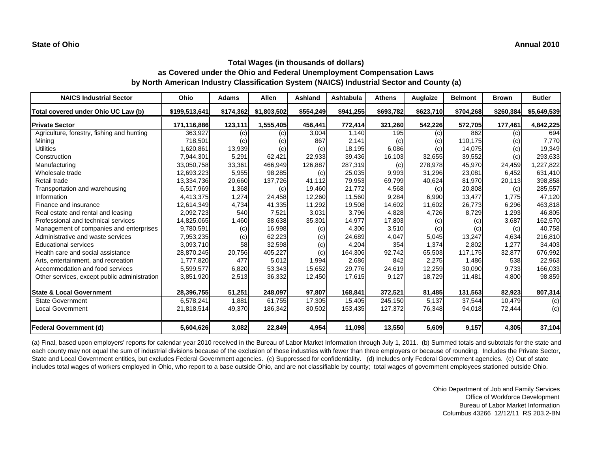| <b>NAICS Industrial Sector</b>               | Ohio          | <b>Adams</b> | Allen       | Ashland   | Ashtabula | <b>Athens</b> | Auglaize  | <b>Belmont</b> | <b>Brown</b> | <b>Butler</b> |
|----------------------------------------------|---------------|--------------|-------------|-----------|-----------|---------------|-----------|----------------|--------------|---------------|
| Total covered under Ohio UC Law (b)          | \$199,513,641 | \$174,362    | \$1,803,502 | \$554,249 | \$941,255 | \$693,782     | \$623,710 | \$704,268      | \$260,384    | \$5,649,539   |
| <b>Private Sector</b>                        | 171,116,886   | 123,111      | 1,555,405   | 456,441   | 772,414   | 321,260       | 542,226   | 572,705        | 177,461      | 4,842,225     |
| Agriculture, forestry, fishing and hunting   | 363,927       | (c)          | (c)         | 3,004     | 1.140     | 195           | (c)       | 862            | (c)          | 694           |
| Mining                                       | 718,501       | (c)          | (c)         | 867       | 2,141     | (c)           | (c)       | 110,175        | (c)          | 7,770         |
| <b>Utilities</b>                             | 1,620,861     | 13,939       | (c)         | (c)       | 18,195    | 6,086         | (c)       | 14,075         | (c)          | 19,349        |
| Construction                                 | 7,944,301     | 5,291        | 62,421      | 22,933    | 39,436    | 16,103        | 32,655    | 39,552         | (c)          | 293,633       |
| Manufacturing                                | 33,050,758    | 33,361       | 466,949     | 126,887   | 287,319   | (c)           | 278,978   | 45,970         | 24,459       | ,227,822      |
| Wholesale trade                              | 12,693,223    | 5,955        | 98,285      | (c)       | 25,035    | 9,993         | 31,296    | 23,081         | 6,452        | 631,410       |
| Retail trade                                 | 13,334,736    | 20,660       | 137,726     | 41.112    | 79,953    | 69,799        | 40,624    | 81,970         | 20,113       | 398,858       |
| Transportation and warehousing               | 6,517,969     | 1,368        | (c)         | 19,460    | 21,772    | 4,568         | (c)       | 20,808         | (c)          | 285,557       |
| Information                                  | 4,413,375     | 1,274        | 24,458      | 12,260    | 11.560    | 9,284         | 6,990     | 13,477         | 1,775        | 47,120        |
| Finance and insurance                        | 12,614,349    | 4,734        | 41,335      | 11,292    | 19,508    | 14,602        | 11,602    | 26,773         | 6,296        | 463,818       |
| Real estate and rental and leasing           | 2,092,723     | 540          | 7,521       | 3,031     | 3,796     | 4,828         | 4,726     | 8,729          | 1,293        | 46,805        |
| Professional and technical services          | 14,825,065    | 1,460        | 38,638      | 35,301    | 14,977    | 17,803        | (c)       | (c)            | 3,687        | 162,570       |
| Management of companies and enterprises      | 9,780,591     | (c)          | 16,998      | (c)       | 4,306     | 3,510         | (c)       | (c)            | (c)          | 40,758        |
| Administrative and waste services            | 7,953,235     | (c)          | 62,223      | (c)       | 24,689    | 4,047         | 5,045     | 13,247         | 4.634        | 216,810       |
| <b>Educational services</b>                  | 3,093,710     | 58           | 32,598      | (c)       | 4,204     | 354           | 1,374     | 2,802          | 1.277        | 34,403        |
| Health care and social assistance            | 28,870,245    | 20,756       | 405,227     | (c)       | 164,306   | 92,742        | 65,503    | 117,175        | 32,877       | 676,992       |
| Arts, entertainment, and recreation          | 1,777,820     | 477          | 5,012       | 1,994     | 2,686     | 842           | 2,275     | 1,486          | 538          | 22,963        |
| Accommodation and food services              | 5,599,577     | 6,820        | 53,343      | 15,652    | 29,776    | 24,619        | 12,259    | 30,090         | 9,733        | 166,033       |
| Other services, except public administration | 3,851,920     | 2,513        | 36,332      | 12,450    | 17,615    | 9,127         | 18,729    | 11,481         | 4,800        | 98,859        |
| <b>State &amp; Local Government</b>          | 28,396,755    | 51,251       | 248,097     | 97,807    | 168,841   | 372,521       | 81,485    | 131,563        | 82,923       | 807,314       |
| <b>State Government</b>                      | 6,578,241     | 1,881        | 61,755      | 17,305    | 15,405    | 245,150       | 5,137     | 37,544         | 10,479       | (c)           |
| <b>Local Government</b>                      | 21,818,514    | 49,370       | 186,342     | 80,502    | 153,435   | 127,372       | 76,348    | 94,018         | 72,444       | (c)           |
| <b>Federal Government (d)</b>                | 5,604,626     | 3,082        | 22,849      | 4,954     | 11,098    | 13,550        | 5,609     | 9,157          | 4,305        | 37,104        |

(a) Final, based upon employers' reports for calendar year 2010 received in the Bureau of Labor Market Information through July 1, 2011. (b) Summed totals and subtotals for the state and each county may not equal the sum of industrial divisions because of the exclusion of those industries with fewer than three employers or because of rounding. Includes the Private Sector, State and Local Government entities, but excludes Federal Government agencies. (c) Suppressed for confidentiality. (d) Includes only Federal Government agencies. (e) Out of state includes total wages of workers employed in Ohio, who report to a base outside Ohio, and are not classifiable by county; total wages of government employees stationed outside Ohio.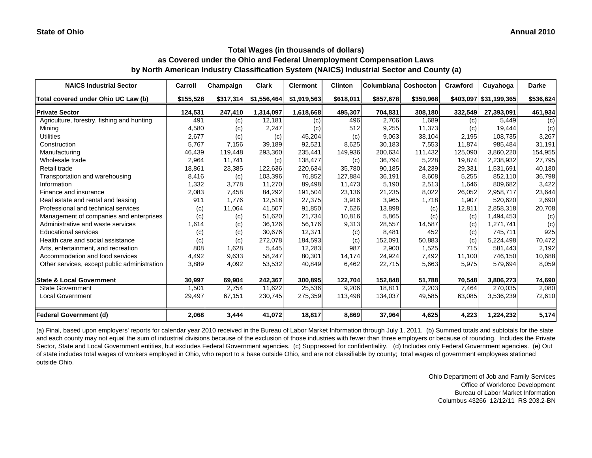| <b>NAICS Industrial Sector</b>               | Carroll   | Champaign | <b>Clark</b> | <b>Clermont</b> | <b>Clinton</b> | Columbiana | Coshocton | Crawford | Cuyahoga               | <b>Darke</b> |
|----------------------------------------------|-----------|-----------|--------------|-----------------|----------------|------------|-----------|----------|------------------------|--------------|
| Total covered under Ohio UC Law (b)          | \$155,528 | \$317,314 | \$1,556,464  | \$1,919,563     | \$618,011      | \$857,678  | \$359,968 |          | \$403,097 \$31,199,365 | \$536,624    |
| <b>Private Sector</b>                        | 124,531   | 247,410   | 1,314,097    | 1,618,668       | 495,307        | 704,831    | 308,180   | 332,549  | 27,393,091             | 461,934      |
| Agriculture, forestry, fishing and hunting   | 491       | (c)       | 12,181       | (c)             | 496            | 2,706      | 1.689     | (c)      | 5,449                  | (c)          |
| Mining                                       | 4,580     | (c)       | 2,247        | (c)             | 512            | 9,255      | 11,373    | (c)      | 19,444                 | (c)          |
| <b>Utilities</b>                             | 2,677     | (c)       | (c)          | 45,204          | (c)            | 9,063      | 38,104    | 2,195    | 108,735                | 3,267        |
| Construction                                 | 5,767     | 7,156     | 39.189       | 92,521          | 8,625          | 30,183     | 7,553     | 11.874   | 985.484                | 31,191       |
| Manufacturing                                | 46,439    | 119,448   | 293,360      | 235,441         | 149,936        | 200,634    | 111,432   | 125,090  | 3,860,220              | 154,955      |
| Wholesale trade                              | 2,964     | 11,741    | (c)          | 138,477         | (c)            | 36,794     | 5,228     | 19,874   | 2,238,932              | 27,795       |
| Retail trade                                 | 18,861    | 23,385    | 122,636      | 220,634         | 35,780         | 90,185     | 24,239    | 29,331   | 1,531,691              | 40,180       |
| Transportation and warehousing               | 8,416     | (c)       | 103,396      | 76,852          | 127,884        | 36,191     | 8,608     | 5,255    | 852,110                | 36,798       |
| Information                                  | 1,332     | 3,778     | 11,270       | 89,498          | 11,473         | 5,190      | 2,513     | 1,646    | 809,682                | 3,422        |
| Finance and insurance                        | 2,083     | 7,458     | 84,292       | 191,504         | 23,136         | 21,235     | 8,022     | 26,052   | 2,958,717              | 23,644       |
| Real estate and rental and leasing           | 911       | 1,776     | 12,518       | 27,375          | 3,916          | 3,965      | 1,718     | 1,907    | 520,620                | 2,690        |
| Professional and technical services          | (c)       | 11,064    | 41,507       | 91,850          | 7,626          | 13,898     | (c)       | 12,811   | 2,858,318              | 20,708       |
| Management of companies and enterprises      | (c)       | (c)       | 51,620       | 21,734          | 10,816         | 5,865      | (c)       | (c)      | 1,494,453              | (c)          |
| Administrative and waste services            | 1,614     | (c)       | 36,126       | 56,176          | 9,313          | 28,557     | 14,587    | (c)      | 1,271,741              | (c)          |
| <b>Educational services</b>                  | (c)       | (c)       | 30,676       | 12,371          | (c)            | 8,481      | 452       | (c)      | 745,711                | 925          |
| Health care and social assistance            | (c)       | (c)       | 272,078      | 184,593         | (c)            | 152,091    | 50,883    | (c)      | 5,224,498              | 70,472       |
| Arts, entertainment, and recreation          | 808       | 1,628     | 5,445        | 12,283          | 987            | 2,900      | 1,525     | 715      | 581,443                | 2,192        |
| Accommodation and food services              | 4,492     | 9,633     | 58,247       | 80,301          | 14,174         | 24,924     | 7,492     | 11,100   | 746,150                | 10,688       |
| Other services, except public administration | 3,889     | 4,092     | 53,532       | 40,849          | 6,462          | 22,715     | 5,663     | 5,975    | 579,694                | 8,059        |
| <b>State &amp; Local Government</b>          | 30,997    | 69,904    | 242,367      | 300,895         | 122,704        | 152,848    | 51,788    | 70,548   | 3,806,273              | 74,690       |
| <b>State Government</b>                      | 1,501     | 2,754     | 11,622       | 25,536          | 9,206          | 18,811     | 2,203     | 7,464    | 270,035                | 2,080        |
| <b>Local Government</b>                      | 29,497    | 67,151    | 230,745      | 275,359         | 113,498        | 134,037    | 49,585    | 63,085   | 3,536,239              | 72,610       |
| <b>Federal Government (d)</b>                | 2,068     | 3,444     | 41,072       | 18,817          | 8,869          | 37,964     | 4,625     | 4,223    | 1,224,232              | 5,174        |

(a) Final, based upon employers' reports for calendar year 2010 received in the Bureau of Labor Market Information through July 1, 2011. (b) Summed totals and subtotals for the state and each county may not equal the sum of industrial divisions because of the exclusion of those industries with fewer than three employers or because of rounding. Includes the Private Sector, State and Local Government entities, but excludes Federal Government agencies. (c) Suppressed for confidentiality. (d) Includes only Federal Government agencies. (e) Out of state includes total wages of workers employed in Ohio, who report to a base outside Ohio, and are not classifiable by county; total wages of government employees stationed outside Ohio.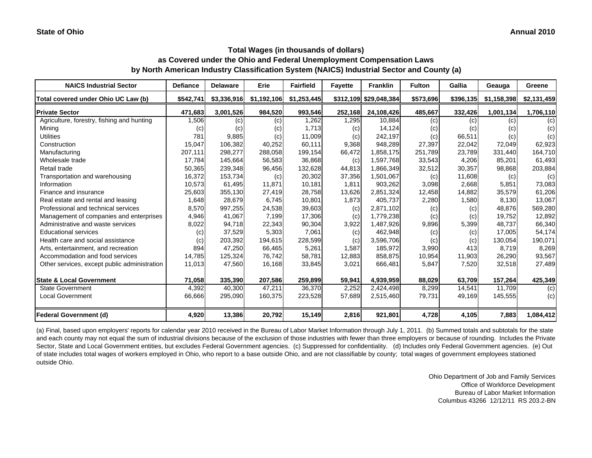| <b>NAICS Industrial Sector</b>               | <b>Defiance</b> | <b>Delaware</b> | Erie        | <b>Fairfield</b> | <b>Fayette</b> | <b>Franklin</b>        | <b>Fulton</b> | Gallia    | Geauga      | Greene      |
|----------------------------------------------|-----------------|-----------------|-------------|------------------|----------------|------------------------|---------------|-----------|-------------|-------------|
| Total covered under Ohio UC Law (b)          | \$542,741       | \$3,336,916     | \$1,192,106 | \$1,253,445      |                | \$312,109 \$29,048,384 | \$573,696     | \$396,135 | \$1,158,398 | \$2,131,459 |
| <b>Private Sector</b>                        | 471,683         | 3,001,526       | 984,520     | 993,546          | 252,168        | 24,108,426             | 485,667       | 332,426   | 1,001,134   | 1,706,110   |
| Agriculture, forestry, fishing and hunting   | 1,506           | (c)             | (c)         | 1,262            | 1,295          | 10,884                 | (c)           | (c)       | (c)         | (c)         |
| Mining                                       | (c)             | (c)             | (c)         | 1,713            | (c)            | 14,124                 | (c)           | (c)       | (c)         | (c)         |
| <b>Utilities</b>                             | 781             | 9,885           | (c)         | 11,009           | (c)            | 242,197                | (c)           | 66,511    | (c)         | (c)         |
| Construction                                 | 15,047          | 106.382         | 40,252      | 60,111           | 9,368          | 948,289                | 27,397        | 22,042    | 72,049      | 62,923      |
| Manufacturing                                | 207,111         | 298,277         | 288,058     | 199,154          | 66,472         | 1,858,175              | 251,789       | 23,789    | 331,440     | 164,710     |
| Wholesale trade                              | 17,784          | 145,664         | 56,583      | 36,868           | (c)            | 1,597,768              | 33,543        | 4,206     | 85,201      | 61,493      |
| Retail trade                                 | 50,365          | 239,348         | 96,456      | 132,628          | 44,813         | 1,866,349              | 32,512        | 30,357    | 98,868      | 203,884     |
| Transportation and warehousing               | 16,372          | 153,734         | (c)         | 20,302           | 37,356         | 1,501,067              | (c)           | 11,608    | (c)         | (c)         |
| Information                                  | 10,573          | 61,495          | 11,871      | 10,181           | 1,811          | 903,262                | 3,098         | 2,668     | 5,851       | 73,083      |
| Finance and insurance                        | 25,603          | 355,130         | 27,419      | 28,758           | 13,626         | 2,851,324              | 12,458        | 14,882    | 35,579      | 61,206      |
| Real estate and rental and leasing           | 1,648           | 28,679          | 6,745       | 10,801           | 1,873          | 405,737                | 2,280         | 1,580     | 8,130       | 13,067      |
| Professional and technical services          | 8,570           | 997,255         | 24,538      | 39,603           | (c)            | 2,871,102              | (c)           | (c)       | 48.876      | 569,280     |
| Management of companies and enterprises      | 4,946           | 41,067          | 7,199       | 17,306           | (c)            | 1,779,238              | (c)           | (c)       | 19,752      | 12,892      |
| Administrative and waste services            | 8,022           | 94,718          | 22,343      | 90,304           | 3,922          | 1,487,926              | 9,896         | 5,399     | 48,737      | 66,340      |
| <b>Educational services</b>                  | (c)             | 37,529          | 5,303       | 7,061            | (c)            | 462,948                | (c)           | (c)       | 17,005      | 54,174      |
| Health care and social assistance            | (c)             | 203,392         | 194,615     | 228,599          | (c)            | 3,596,706              | (c)           | (c)       | 130,054     | 190,071     |
| Arts, entertainment, and recreation          | 894             | 47,250          | 66,465      | 5,261            | 1,587          | 185,972                | 3,990         | 413       | 8.719       | 8,269       |
| Accommodation and food services              | 14,785          | 125,324         | 76,742      | 58,781           | 12,883         | 858,875                | 10,954        | 11,903    | 26,290      | 93,567      |
| Other services, except public administration | 11,013          | 47,560          | 16,168      | 33,845           | 3,021          | 666,481                | 5,847         | 7,520     | 32,518      | 27,489      |
| <b>State &amp; Local Government</b>          | 71,058          | 335,390         | 207,586     | 259,899          | 59,941         | 4,939,959              | 88,029        | 63,709    | 157,264     | 425,349     |
| <b>State Government</b>                      | 4,392           | 40.300          | 47.211      | 36,370           | 2,252          | 2,424,498              | 8,299         | 14.541    | 11.709      | (c)         |
| <b>Local Government</b>                      | 66,666          | 295,090         | 160,375     | 223,528          | 57,689         | 2,515,460              | 79,731        | 49,169    | 145,555     | (c)         |
| <b>Federal Government (d)</b>                | 4,920           | 13,386          | 20,792      | 15,149           | 2,816          | 921,801                | 4,728         | 4,105     | 7,883       | 1,084,412   |

(a) Final, based upon employers' reports for calendar year 2010 received in the Bureau of Labor Market Information through July 1, 2011. (b) Summed totals and subtotals for the state and each county may not equal the sum of industrial divisions because of the exclusion of those industries with fewer than three employers or because of rounding. Includes the Private Sector, State and Local Government entities, but excludes Federal Government agencies. (c) Suppressed for confidentiality. (d) Includes only Federal Government agencies. (e) Out of state includes total wages of workers employed in Ohio, who report to a base outside Ohio, and are not classifiable by county; total wages of government employees stationed outside Ohio.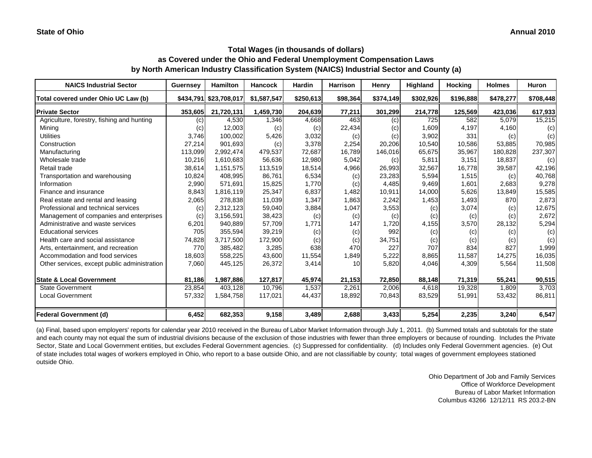#### **Annual 2010**

## **Total Wages (in thousands of dollars) as Covered under the Ohio and Federal Unemployment Compensation Laws by North American Industry Classification System (NAICS) Industrial Sector and County (a)**

| <b>NAICS Industrial Sector</b>               | Guernsey | <b>Hamilton</b>        | <b>Hancock</b> | <b>Hardin</b> | <b>Harrison</b> | Henry     | Highland  | <b>Hocking</b> | <b>Holmes</b> | <b>Huron</b> |
|----------------------------------------------|----------|------------------------|----------------|---------------|-----------------|-----------|-----------|----------------|---------------|--------------|
| Total covered under Ohio UC Law (b)          |          | \$434,791 \$23,708,017 | \$1,587,547    | \$250,613     | \$98,364        | \$374,149 | \$302,926 | \$196,888      | \$478,277     | \$708,448    |
| <b>Private Sector</b>                        | 353,605  | 21,720,131             | 1,459,730      | 204,639       | 77,211          | 301,299   | 214,778   | 125,569        | 423,036       | 617,933      |
| Agriculture, forestry, fishing and hunting   | (c)      | 4,530                  | 1,346          | 4,668         | 463             | (c)       | 725       | 582            | 5,079         | 15,215       |
| Mining                                       | (c)      | 12,003                 | (c)            | (c)           | 22,434          | (c)       | 1,609     | 4,197          | 4,160         | (c)          |
| <b>Utilities</b>                             | 3,746    | 100,002                | 5,426          | 3,032         | (c)             | (c)       | 3,902     | 331            | (c)           | (c)          |
| Construction                                 | 27,214   | 901,693                | (c)            | 3,378         | 2,254           | 20,206    | 10,540    | 10,586         | 53,885        | 70,985       |
| Manufacturing                                | 113,099  | 2,992,474              | 479,537        | 72,687        | 16,789          | 146,016   | 65,675    | 35,967         | 180,828       | 237,307      |
| Wholesale trade                              | 10,216   | 1,610,683              | 56,636         | 12,980        | 5,042           | (c)       | 5,811     | 3,151          | 18,837        | (c)          |
| Retail trade                                 | 38,614   | 1,151,575              | 113,519        | 18,514        | 4,966           | 26,993    | 32,567    | 16,778         | 39,587        | 42,196       |
| Transportation and warehousing               | 10,824   | 408,995                | 86.761         | 6,534         | (c)             | 23,283    | 5,594     | 1,515          | (c)           | 40,768       |
| Information                                  | 2,990    | 571,691                | 15,825         | 1,770         | (c)             | 4,485     | 9,469     | 1,601          | 2,683         | 9,278        |
| Finance and insurance                        | 8,843    | 1,816,119              | 25,347         | 6,837         | 1,482           | 10,911    | 14,000    | 5,626          | 13,849        | 15,585       |
| Real estate and rental and leasing           | 2,065    | 278,838                | 11,039         | 1,347         | 1,863           | 2,242     | 1,453     | 1,493          | 870           | 2,873        |
| Professional and technical services          | (c)      | 2,312,123              | 59,040         | 3,884         | 1,047           | 3,553     | (c)       | 3,074          | (c)           | 12,675       |
| Management of companies and enterprises      | (c)      | 3,156,591              | 38,423         | (c)           | (c)             | (c)       | (c)       | (c)            | (c)           | 2,672        |
| Administrative and waste services            | 6,201    | 940,889                | 57,709         | 1,771         | 147             | 1,720     | 4,155     | 3,570          | 28,132        | 5,294        |
| <b>Educational services</b>                  | 705      | 355,594                | 39,219         | (c)           | (c)             | 992       | (c)       | (c)            | (c)           | (c)          |
| Health care and social assistance            | 74,828   | 3,717,500              | 172,900        | (c)           | (c)             | 34,751    | (c)       | (c)            | (c)           | (c)          |
| Arts, entertainment, and recreation          | 770      | 385,482                | 3,285          | 638           | 470             | 227       | 707       | 834            | 827           | 1,999        |
| Accommodation and food services              | 18,603   | 558,225                | 43,600         | 11,554        | 1,849           | 5,222     | 8,865     | 11,587         | 14,275        | 16,035       |
| Other services, except public administration | 7,060    | 445,125                | 26,372         | 3,414         | 10 <sup>1</sup> | 5,820     | 4,046     | 4,309          | 5,564         | 11,508       |
| <b>State &amp; Local Government</b>          | 81,186   | 1,987,886              | 127,817        | 45,974        | 21,153          | 72,850    | 88,148    | 71,319         | 55,241        | 90,515       |
| <b>State Government</b>                      | 23,854   | 403,128                | 10,796         | 1,537         | 2,261           | 2,006     | 4,618     | 19,328         | 1,809         | 3,703        |
| <b>Local Government</b>                      | 57,332   | 1,584,758              | 117,021        | 44,437        | 18,892          | 70,843    | 83,529    | 51,991         | 53,432        | 86,811       |
| <b>Federal Government (d)</b>                | 6,452    | 682,353                | 9,158          | 3,489         | 2,688           | 3,433     | 5,254     | 2,235          | 3,240         | 6,547        |

(a) Final, based upon employers' reports for calendar year 2010 received in the Bureau of Labor Market Information through July 1, 2011. (b) Summed totals and subtotals for the state and each county may not equal the sum of industrial divisions because of the exclusion of those industries with fewer than three employers or because of rounding. Includes the Private Sector, State and Local Government entities, but excludes Federal Government agencies. (c) Suppressed for confidentiality. (d) Includes only Federal Government agencies. (e) Out of state includes total wages of workers employed in Ohio, who report to a base outside Ohio, and are not classifiable by county; total wages of government employees stationed outside Ohio.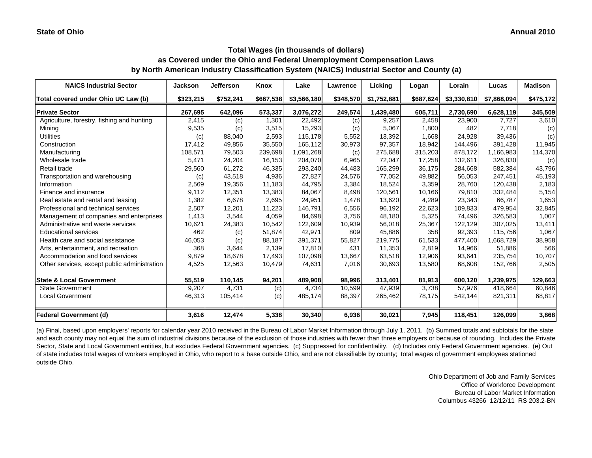| <b>NAICS Industrial Sector</b>               | <b>Jackson</b> | <b>Jefferson</b> | Knox      | Lake        | <b>Lawrence</b> | Licking     | Logan     | Lorain      | Lucas       | <b>Madison</b> |
|----------------------------------------------|----------------|------------------|-----------|-------------|-----------------|-------------|-----------|-------------|-------------|----------------|
| Total covered under Ohio UC Law (b)          | \$323,215      | \$752,241        | \$667,538 | \$3,566,180 | \$348,570       | \$1,752,881 | \$687,624 | \$3,330,810 | \$7,868,094 | \$475,172      |
| <b>Private Sector</b>                        | 267,695        | 642,096          | 573,337   | 3,076,272   | 249,574         | 1,439,480   | 605,711   | 2,730,690   | 6,628,119   | 345,509        |
| Agriculture, forestry, fishing and hunting   | 2,415          | (c)              | 1,301     | 22,492      | (c)             | 9,257       | 2,458     | 23,900      | 7,727       | 3,610          |
| Mining                                       | 9,535          | (c)              | 3,515     | 15,293      | (c)             | 5,067       | 1,800     | 482         | 7,718       | (c)            |
| <b>Utilities</b>                             | (c)            | 88,040           | 2,593     | 115,178     | 5,552           | 13,392      | 1,668     | 24,928      | 39,436      | (c)            |
| Construction                                 | 17,412         | 49,856           | 35,550    | 165.112     | 30,973          | 97,357      | 18,942    | 144,496     | 391.428     | 11,945         |
| Manufacturing                                | 108,571        | 79,503           | 239,698   | 1,091,268   | (c)             | 275,688     | 315,203   | 878,172     | 1,166,983   | 114,370        |
| Wholesale trade                              | 5,471          | 24,204           | 16,153    | 204,070     | 6,965           | 72,047      | 17,258    | 132,611     | 326,830     | (c)            |
| Retail trade                                 | 29,560         | 61,272           | 46,335    | 293,240     | 44,483          | 165,299     | 36,175    | 284,668     | 582,384     | 43,796         |
| Transportation and warehousing               | (c)            | 43,518           | 4,936     | 27,827      | 24,576          | 77,052      | 49,882    | 56,053      | 247,451     | 45,193         |
| Information                                  | 2,569          | 19,356           | 11,183    | 44,795      | 3,384           | 18,524      | 3,359     | 28,760      | 120,438     | 2,183          |
| Finance and insurance                        | 9,112          | 12,351           | 13,383    | 84,067      | 8,498           | 120,561     | 10,166    | 79,810      | 332,484     | 5,154          |
| Real estate and rental and leasing           | 1,382          | 6,678            | 2,695     | 24,951      | 1,478           | 13,620      | 4,289     | 23,343      | 66,787      | 1,653          |
| Professional and technical services          | 2,507          | 12,201           | 11,223    | 146,791     | 6,556           | 96,192      | 22,623    | 109,833     | 479,954     | 32,845         |
| Management of companies and enterprises      | 1,413          | 3,544            | 4,059     | 84.698      | 3.756           | 48,180      | 5,325     | 74,496      | 326,583     | 1,007          |
| Administrative and waste services            | 10,621         | 24,383           | 10,542    | 122,609     | 10,939          | 56,018      | 25,367    | 122,129     | 307,025     | 13,411         |
| <b>Educational services</b>                  | 462            | (c)              | 51,874    | 42,971      | 809             | 45,886      | 358       | 92,393      | 115,756     | 1,067          |
| Health care and social assistance            | 46,053         | (c)              | 88,187    | 391,371     | 55,827          | 219,775     | 61,533    | 477,400     | 1,668,729   | 38,958         |
| Arts, entertainment, and recreation          | 368            | 3,644            | 2,139     | 17,810      | 431             | 11,353      | 2,819     | 14,966      | 51,886      | 566            |
| Accommodation and food services              | 9,879          | 18,678           | 17,493    | 107,098     | 13,667          | 63,518      | 12,906    | 93,641      | 235,754     | 10,707         |
| Other services, except public administration | 4,525          | 12,563           | 10,479    | 74,631      | 7,016           | 30,693      | 13,580    | 68,608      | 152,766     | 2,505          |
| <b>State &amp; Local Government</b>          | 55,519         | 110,145          | 94,201    | 489,908     | 98,996          | 313,401     | 81,913    | 600,120     | 1,239,975   | 129,663        |
| <b>State Government</b>                      | 9,207          | 4,731            | (c)       | 4,734       | 10,599          | 47,939      | 3,738     | 57,976      | 418,664     | 60,846         |
| <b>Local Government</b>                      | 46,313         | 105,414          | (c)       | 485,174     | 88,397          | 265,462     | 78,175    | 542,144     | 821,311     | 68,817         |
| <b>Federal Government (d)</b>                | 3,616          | 12,474           | 5,338     | 30,340      | 6,936           | 30,021      | 7,945     | 118,451     | 126,099     | 3,868          |

(a) Final, based upon employers' reports for calendar year 2010 received in the Bureau of Labor Market Information through July 1, 2011. (b) Summed totals and subtotals for the state and each county may not equal the sum of industrial divisions because of the exclusion of those industries with fewer than three employers or because of rounding. Includes the Private Sector, State and Local Government entities, but excludes Federal Government agencies. (c) Suppressed for confidentiality. (d) Includes only Federal Government agencies. (e) Out of state includes total wages of workers employed in Ohio, who report to a base outside Ohio, and are not classifiable by county; total wages of government employees stationed outside Ohio.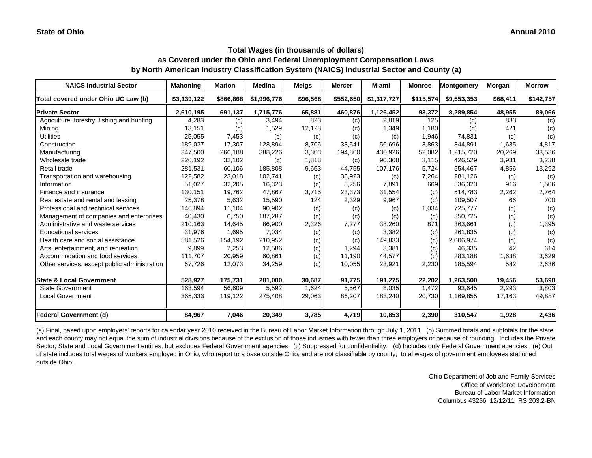| <b>NAICS Industrial Sector</b>               | <b>Mahoning</b> | <b>Marion</b> | <b>Medina</b> | <b>Meigs</b> | <b>Mercer</b> | Miami       | <b>Monroe</b> | Montgomery  | Morgan   | <b>Morrow</b> |
|----------------------------------------------|-----------------|---------------|---------------|--------------|---------------|-------------|---------------|-------------|----------|---------------|
| Total covered under Ohio UC Law (b)          | \$3,139,122     | \$866,868     | \$1,996,776   | \$96,568     | \$552,650     | \$1,317,727 | \$115,574     | \$9,553,353 | \$68,411 | \$142,757     |
| <b>Private Sector</b>                        | 2,610,195       | 691,137       | 1,715,776     | 65,881       | 460,876       | 1,126,452   | 93,372        | 8,289,854   | 48,955   | 89,066        |
| Agriculture, forestry, fishing and hunting   | 4,283           | (c)           | 3,494         | 823          | (c)           | 2,819       | 125           | (c)         | 833      | (c)           |
| Mining                                       | 13,151          | (c)           | 1,529         | 12,128       | (c)           | 1,349       | 1,180         | (c)         | 421      | (c)           |
| <b>Utilities</b>                             | 25,055          | 7,453         | (c)           | (c)          | (c)           | (c)         | 1,946         | 74,831      | (c)      | (c)           |
| Construction                                 | 189,027         | 17,307        | 128,894       | 8,706        | 33,541        | 56,696      | 3,863         | 344.891     | 1,635    | 4,817         |
| Manufacturing                                | 347,500         | 266,188       | 388,226       | 3,303        | 194,860       | 430,926     | 52,082        | 1,215,720   | 20,269   | 33,536        |
| Wholesale trade                              | 220,192         | 32,102        | (c)           | 1,818        | (c)           | 90,368      | 3,115         | 426,529     | 3,931    | 3,238         |
| Retail trade                                 | 281,531         | 60,106        | 185,808       | 9,663        | 44,755        | 107,176     | 5,724         | 554,467     | 4,856    | 13,292        |
| Transportation and warehousing               | 122,582         | 23,018        | 102,741       | (c)          | 35,923        | (c)         | 7,264         | 281,126     | (c)      | (c)           |
| Information                                  | 51,027          | 32,205        | 16,323        | (c)          | 5,256         | 7,891       | 669           | 536,323     | 916      | 1,506         |
| Finance and insurance                        | 130,151         | 19,762        | 47,867        | 3,715        | 23,373        | 31,554      | (c)           | 514,783     | 2,262    | 2,764         |
| Real estate and rental and leasing           | 25,378          | 5,632         | 15,590        | 124          | 2,329         | 9,967       | (c)           | 109,507     | 66       | 700           |
| Professional and technical services          | 146,894         | 11,104        | 90,902        | (c)          | (c)           | (c)         | 1,034         | 725,777     | (c)      | (c)           |
| Management of companies and enterprises      | 40,430          | 6,750         | 187,287       | (c)          | (c)           | (c)         | (c)           | 350,725     | (c)      | (c)           |
| Administrative and waste services            | 210,163         | 14,645        | 86,900        | 2,326        | 7,277         | 38,260      | 871           | 363,661     | (c)      | 1,395         |
| <b>Educational services</b>                  | 31,976          | 1,695         | 7,034         | (c)          | (c)           | 3,382       | (c)           | 261,835     | (c)      | (c)           |
| Health care and social assistance            | 581,526         | 154,192       | 210,952       | (c)          | (c)           | 149,833     | (c)           | 2,006,974   | (c)      | (c)           |
| Arts, entertainment, and recreation          | 9,899           | 2,253         | 12,586        | (c)          | 1.294         | 3,381       | (c)           | 46,335      | 42       | 614           |
| Accommodation and food services              | 111,707         | 20,959        | 60.861        | (c)          | 11,190        | 44,577      | (c)           | 283,188     | 1,638    | 3,629         |
| Other services, except public administration | 67,726          | 12,073        | 34,259        | (c)          | 10,055        | 23,921      | 2,230         | 185,594     | 582      | 2,636         |
| <b>State &amp; Local Government</b>          | 528,927         | 175,731       | 281,000       | 30,687       | 91,775        | 191,275     | 22,202        | 1,263,500   | 19,456   | 53,690        |
| <b>State Government</b>                      | 163,594         | 56.609        | 5,592         | 1.624        | 5,567         | 8,035       | 1,472         | 93,645      | 2,293    | 3.803         |
| <b>Local Government</b>                      | 365,333         | 119,122       | 275,408       | 29,063       | 86,207        | 183,240     | 20,730        | 1,169,855   | 17,163   | 49,887        |
| <b>Federal Government (d)</b>                | 84,967          | 7,046         | 20,349        | 3,785        | 4,719         | 10,853      | 2,390         | 310,547     | 1,928    | 2,436         |

(a) Final, based upon employers' reports for calendar year 2010 received in the Bureau of Labor Market Information through July 1, 2011. (b) Summed totals and subtotals for the state and each county may not equal the sum of industrial divisions because of the exclusion of those industries with fewer than three employers or because of rounding. Includes the Private Sector, State and Local Government entities, but excludes Federal Government agencies. (c) Suppressed for confidentiality. (d) Includes only Federal Government agencies. (e) Out of state includes total wages of workers employed in Ohio, who report to a base outside Ohio, and are not classifiable by county; total wages of government employees stationed outside Ohio.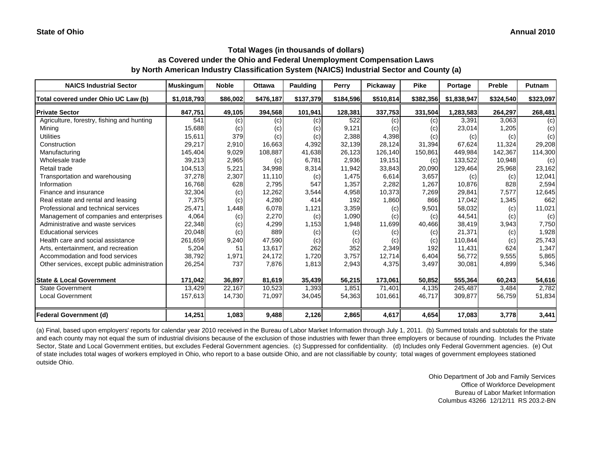| <b>NAICS Industrial Sector</b>               | <b>Muskingum</b> | <b>Noble</b> | <b>Ottawa</b> | <b>Paulding</b> | Perry     | Pickaway  | <b>Pike</b> | Portage     | Preble    | Putnam    |
|----------------------------------------------|------------------|--------------|---------------|-----------------|-----------|-----------|-------------|-------------|-----------|-----------|
| Total covered under Ohio UC Law (b)          | \$1,018,793      | \$86,002     | \$476,187     | \$137,379       | \$184,596 | \$510,814 | \$382,356   | \$1,838,947 | \$324,540 | \$323,097 |
| <b>Private Sector</b>                        | 847,751          | 49,105       | 394,568       | 101,941         | 128,381   | 337,753   | 331,504     | 1,283,583   | 264,297   | 268,481   |
| Agriculture, forestry, fishing and hunting   | 541              | (c)          | (c)           | (c)             | 522       | (c)       | (c)         | 3,391       | 3,063     | (c)       |
| Mining                                       | 15,688           | (c)          | (c)           | (c)             | 9,121     | (c)       | (c)         | 23,014      | 1,205     | (c)       |
| <b>Utilities</b>                             | 15,611           | 379          | (c)           | (c)             | 2,388     | 4,398     | (c)         | (c)         | (c)       | (c)       |
| Construction                                 | 29,217           | 2,910        | 16.663        | 4,392           | 32,139    | 28,124    | 31,394      | 67.624      | 11.324    | 29,208    |
| Manufacturing                                | 145,404          | 9,029        | 108,887       | 41,638          | 26,123    | 126,140   | 150,861     | 449,984     | 142,367   | 114,300   |
| Wholesale trade                              | 39,213           | 2,965        | (c)           | 6,781           | 2,936     | 19,151    | (c)         | 133,522     | 10,948    | (c)       |
| Retail trade                                 | 104,513          | 5,221        | 34,998        | 8,314           | 11,942    | 33,843    | 20,090      | 129,464     | 25,968    | 23,162    |
| Transportation and warehousing               | 37,278           | 2,307        | 11,110        | (c)             | 1,475     | 6,614     | 3,657       | (c)         | (c)       | 12,041    |
| Information                                  | 16,768           | 628          | 2,795         | 547             | 1,357     | 2,282     | 1,267       | 10,876      | 828       | 2,594     |
| Finance and insurance                        | 32,304           | (c)          | 12,262        | 3,544           | 4,958     | 10,373    | 7,269       | 29,841      | 7,577     | 12,645    |
| Real estate and rental and leasing           | 7,375            | (c)          | 4,280         | 414             | 192       | 1,860     | 866         | 17,042      | 1,345     | 662       |
| Professional and technical services          | 25,471           | 1,448        | 6,078         | 1,121           | 3,359     | (c)       | 9,501       | 58,032      | (c)       | 11,021    |
| Management of companies and enterprises      | 4,064            | (c)          | 2,270         | (c)             | 1,090     | (c)       | (c)         | 44,541      | (c)       | (c)       |
| Administrative and waste services            | 22,348           | (c)          | 4,299         | 1,153           | 1,948     | 11,699    | 40,466      | 38,419      | 3,943     | 7,750     |
| <b>Educational services</b>                  | 20,048           | (c)          | 889           | (c)             | (c)       | (c)       | (c)         | 21,371      | (c)       | 1,928     |
| Health care and social assistance            | 261,659          | 9,240        | 47,590        | (c)             | (c)       | (c)       | (c)         | 110,844     | (c)       | 25,743    |
| Arts, entertainment, and recreation          | 5,204            | 51           | 13,617        | 262             | 352       | 2,349     | 192         | 11,431      | 624       | 1,347     |
| Accommodation and food services              | 38,792           | 1,971        | 24,172        | 1,720           | 3,757     | 12,714    | 6,404       | 56,772      | 9,555     | 5,865     |
| Other services, except public administration | 26,254           | 737          | 7,876         | 1,813           | 2,943     | 4,375     | 3,497       | 30,081      | 4,899     | 5,346     |
| <b>State &amp; Local Government</b>          | 171,042          | 36,897       | 81,619        | 35,439          | 56,215    | 173,061   | 50,852      | 555,364     | 60,243    | 54,616    |
| <b>State Government</b>                      | 13,429           | 22,167       | 10,523        | 1,393           | 1,851     | 71,401    | 4,135       | 245,487     | 3,484     | 2,782     |
| <b>Local Government</b>                      | 157,613          | 14,730       | 71,097        | 34,045          | 54,363    | 101,661   | 46,717      | 309,877     | 56,759    | 51,834    |
| <b>Federal Government (d)</b>                | 14,251           | 1,083        | 9,488         | 2,126           | 2,865     | 4,617     | 4,654       | 17,083      | 3,778     | 3,441     |

(a) Final, based upon employers' reports for calendar year 2010 received in the Bureau of Labor Market Information through July 1, 2011. (b) Summed totals and subtotals for the state and each county may not equal the sum of industrial divisions because of the exclusion of those industries with fewer than three employers or because of rounding. Includes the Private Sector, State and Local Government entities, but excludes Federal Government agencies. (c) Suppressed for confidentiality. (d) Includes only Federal Government agencies. (e) Out of state includes total wages of workers employed in Ohio, who report to a base outside Ohio, and are not classifiable by county; total wages of government employees stationed outside Ohio.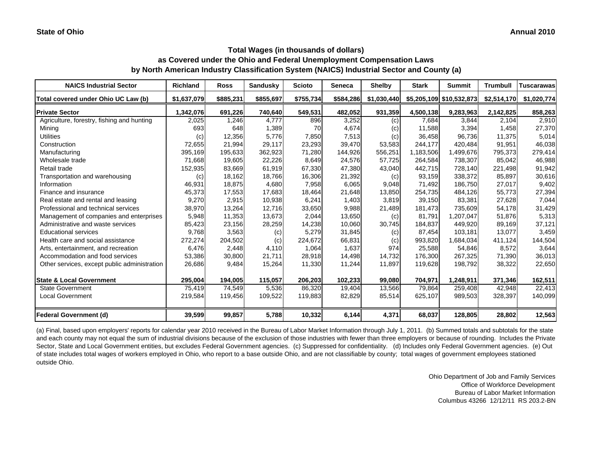| <b>NAICS Industrial Sector</b>               | <b>Richland</b> | <b>Ross</b> | <b>Sandusky</b> | <b>Scioto</b> | Seneca    | <b>Shelby</b> | <b>Stark</b> | <b>Summit</b>            | <b>Trumbull</b> | <b>Tuscarawas</b> |
|----------------------------------------------|-----------------|-------------|-----------------|---------------|-----------|---------------|--------------|--------------------------|-----------------|-------------------|
| Total covered under Ohio UC Law (b)          | \$1,637,079     | \$885,231   | \$855,697       | \$755,734     | \$584,286 | \$1,030,440   |              | \$5,205,109 \$10,532,873 | \$2,514,170     | \$1,020,774       |
| <b>Private Sector</b>                        | 1,342,076       | 691,226     | 740,640         | 549,531       | 482,052   | 931,359       | 4,500,138    | 9,283,963                | 2,142,825       | 858,263           |
| Agriculture, forestry, fishing and hunting   | 2,025           | 1.246       | 4.777           | 896           | 3,252     | (c)           | 7.684        | 3,844                    | 2.104           | 2,910             |
| Mining                                       | 693             | 648         | 1,389           | 70            | 4,674     | (c)           | 11,588       | 3,394                    | 1,458           | 27,370            |
| <b>Utilities</b>                             | (c)             | 12,356      | 5,776           | 7,850         | 7,513     | (c)           | 36,458       | 96,736                   | 11,375          | 5,014             |
| Construction                                 | 72,655          | 21,994      | 29,117          | 23,293        | 39,470    | 53,583        | 244,177      | 420.484                  | 91.951          | 46,038            |
| Manufacturing                                | 395,169         | 195,633     | 362,923         | 71,280        | 144,926   | 556,251       | 1,183,506    | 1,499,676                | 795,373         | 279,414           |
| Wholesale trade                              | 71,668          | 19,605      | 22,226          | 8,649         | 24,576    | 57,725        | 264,584      | 738,307                  | 85,042          | 46,988            |
| Retail trade                                 | 152,935         | 83,669      | 61,919          | 67,330        | 47,380    | 43,040        | 442,715      | 728,140                  | 221,498         | 91,942            |
| Transportation and warehousing               | (c)             | 18,162      | 18,766          | 16,306        | 21,392    | (c)           | 93,159       | 338,372                  | 85,897          | 30,616            |
| Information                                  | 46,931          | 18,875      | 4,680           | 7,958         | 6,065     | 9,048         | 71,492       | 186,750                  | 27,017          | 9,402             |
| Finance and insurance                        | 45,373          | 17,553      | 17,683          | 18,464        | 21,648    | 13,850        | 254,735      | 484,126                  | 55,773          | 27,394            |
| Real estate and rental and leasing           | 9,270           | 2,915       | 10,938          | 6,241         | 1,403     | 3,819         | 39,150       | 83,381                   | 27,628          | 7,044             |
| Professional and technical services          | 38,970          | 13,264      | 12,716          | 33,650        | 9,988     | 21,489        | 181,473      | 735,609                  | 54,178          | 31,429            |
| Management of companies and enterprises      | 5,948           | 11,353      | 13,673          | 2,044         | 13,650    | (c)           | 81,791       | 1.207.047                | 51,876          | 5,313             |
| Administrative and waste services            | 85,423          | 23,156      | 28,259          | 14,238        | 10,060    | 30,745        | 184,837      | 449,920                  | 89.169          | 37,121            |
| <b>Educational services</b>                  | 9,768           | 3,563       | (c)             | 5,279         | 31,845    | (c)           | 87,454       | 103,181                  | 13,077          | 3,459             |
| Health care and social assistance            | 272,274         | 204,502     | (c)             | 224,672       | 66,831    | (c)           | 993,820      | 1,684,034                | 411.124         | 144,504           |
| Arts, entertainment, and recreation          | 6,476           | 2,448       | 4,110           | 1,064         | 1,637     | 974           | 25,588       | 54,846                   | 8,572           | 3,644             |
| Accommodation and food services              | 53,386          | 30,800      | 21,711          | 28,918        | 14,498    | 14,732        | 176,300      | 267,325                  | 71,390          | 36,013            |
| Other services, except public administration | 26,686          | 9,484       | 15,264          | 11,330        | 11,244    | 11,897        | 119,628      | 198,792                  | 38,322          | 22,650            |
| <b>State &amp; Local Government</b>          | 295,004         | 194,005     | 115,057         | 206,203       | 102,233   | 99,080        | 704,971      | 1,248,911                | 371,346         | 162,511           |
| <b>State Government</b>                      | 75,419          | 74,549      | 5,536           | 86,320        | 19,404    | 13,566        | 79,864       | 259,408                  | 42,948          | 22,413            |
| <b>Local Government</b>                      | 219,584         | 119,456     | 109,522         | 119,883       | 82,829    | 85,514        | 625,107      | 989,503                  | 328,397         | 140,099           |
| <b>Federal Government (d)</b>                | 39,599          | 99,857      | 5,788           | 10,332        | 6,144     | 4,371         | 68,037       | 128,805                  | 28,802          | 12,563            |

(a) Final, based upon employers' reports for calendar year 2010 received in the Bureau of Labor Market Information through July 1, 2011. (b) Summed totals and subtotals for the state and each county may not equal the sum of industrial divisions because of the exclusion of those industries with fewer than three employers or because of rounding. Includes the Private Sector, State and Local Government entities, but excludes Federal Government agencies. (c) Suppressed for confidentiality. (d) Includes only Federal Government agencies. (e) Out of state includes total wages of workers employed in Ohio, who report to a base outside Ohio, and are not classifiable by county; total wages of government employees stationed outside Ohio.